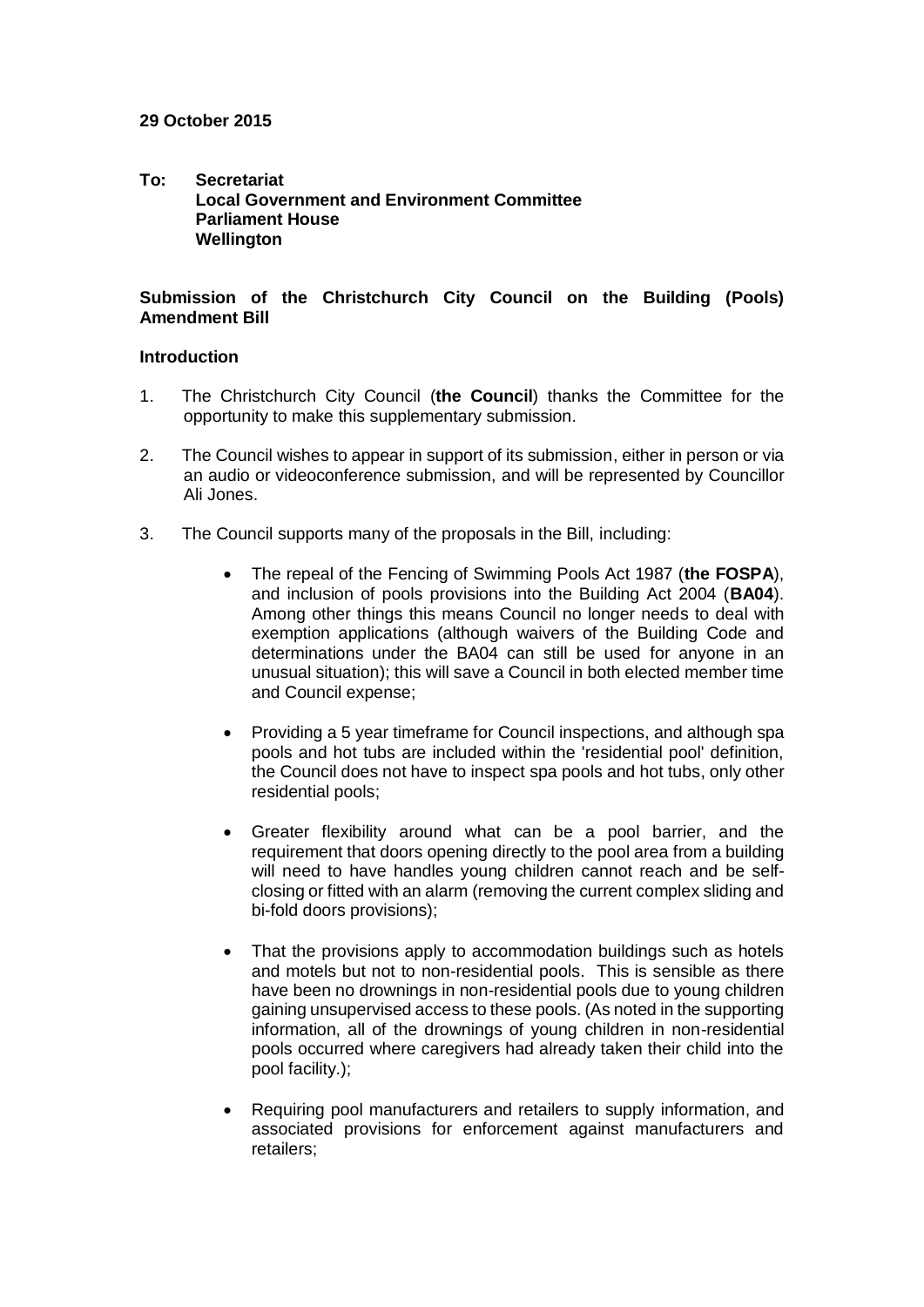## **29 October 2015**

**To: Secretariat Local Government and Environment Committee Parliament House Wellington**

# **Submission of the Christchurch City Council on the Building (Pools) Amendment Bill**

#### **Introduction**

- 1. The Christchurch City Council (**the Council**) thanks the Committee for the opportunity to make this supplementary submission.
- 2. The Council wishes to appear in support of its submission, either in person or via an audio or videoconference submission, and will be represented by Councillor Ali Jones.
- 3. The Council supports many of the proposals in the Bill, including:
	- The repeal of the Fencing of Swimming Pools Act 1987 (**the FOSPA**), and inclusion of pools provisions into the Building Act 2004 (**BA04**). Among other things this means Council no longer needs to deal with exemption applications (although waivers of the Building Code and determinations under the BA04 can still be used for anyone in an unusual situation); this will save a Council in both elected member time and Council expense;
	- Providing a 5 year timeframe for Council inspections, and although spa pools and hot tubs are included within the 'residential pool' definition, the Council does not have to inspect spa pools and hot tubs, only other residential pools;
	- Greater flexibility around what can be a pool barrier, and the requirement that doors opening directly to the pool area from a building will need to have handles young children cannot reach and be selfclosing or fitted with an alarm (removing the current complex sliding and bi-fold doors provisions);
	- That the provisions apply to accommodation buildings such as hotels and motels but not to non-residential pools. This is sensible as there have been no drownings in non-residential pools due to young children gaining unsupervised access to these pools. (As noted in the supporting information, all of the drownings of young children in non-residential pools occurred where caregivers had already taken their child into the pool facility.);
	- Requiring pool manufacturers and retailers to supply information, and associated provisions for enforcement against manufacturers and retailers;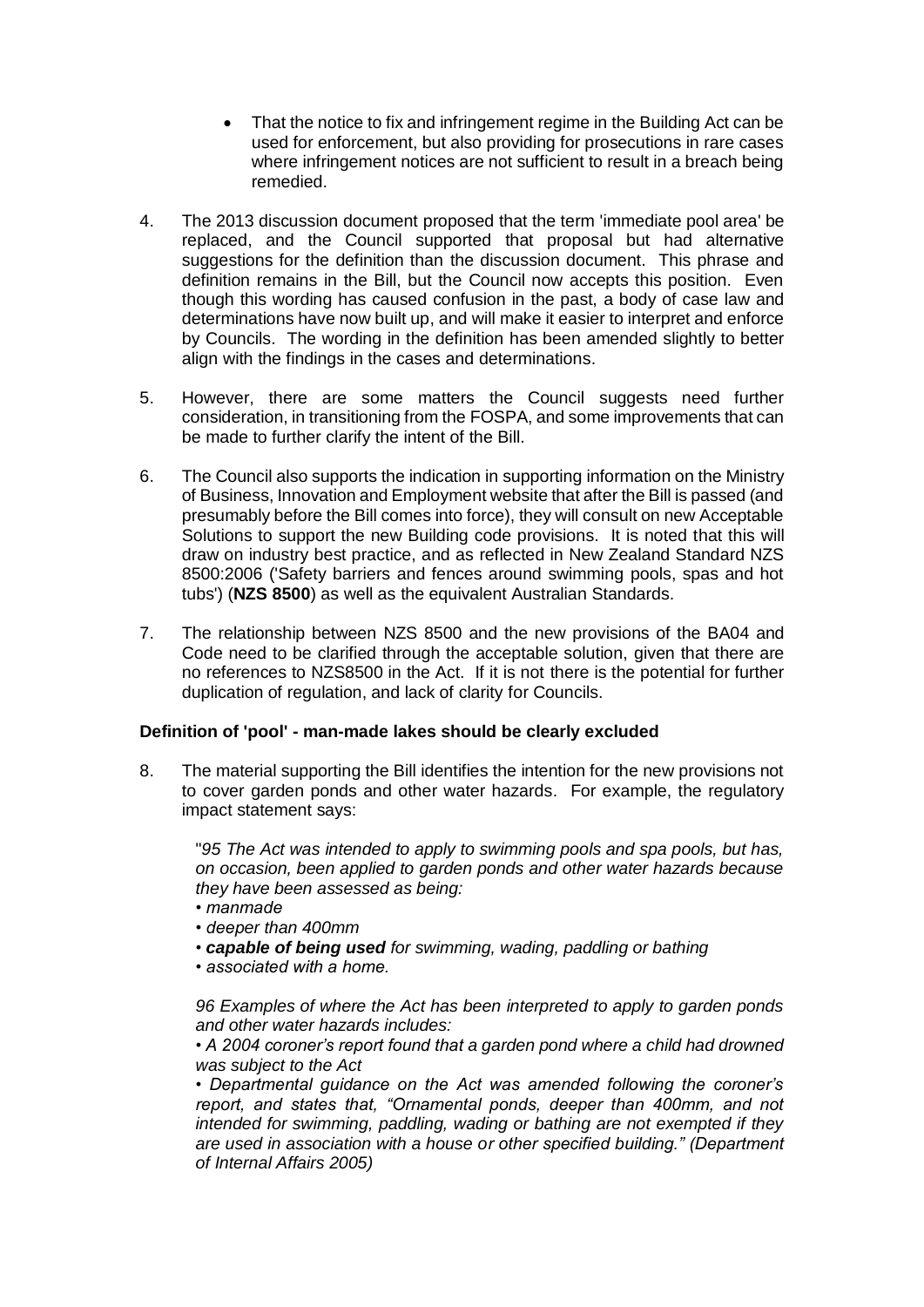- That the notice to fix and infringement regime in the Building Act can be used for enforcement, but also providing for prosecutions in rare cases where infringement notices are not sufficient to result in a breach being remedied.
- 4. The 2013 discussion document proposed that the term 'immediate pool area' be replaced, and the Council supported that proposal but had alternative suggestions for the definition than the discussion document. This phrase and definition remains in the Bill, but the Council now accepts this position. Even though this wording has caused confusion in the past, a body of case law and determinations have now built up, and will make it easier to interpret and enforce by Councils. The wording in the definition has been amended slightly to better align with the findings in the cases and determinations.
- 5. However, there are some matters the Council suggests need further consideration, in transitioning from the FOSPA, and some improvements that can be made to further clarify the intent of the Bill.
- 6. The Council also supports the indication in supporting information on the Ministry of Business, Innovation and Employment website that after the Bill is passed (and presumably before the Bill comes into force), they will consult on new Acceptable Solutions to support the new Building code provisions. It is noted that this will draw on industry best practice, and as reflected in New Zealand Standard NZS 8500:2006 ('Safety barriers and fences around swimming pools, spas and hot tubs') (**NZS 8500**) as well as the equivalent Australian Standards.
- 7. The relationship between NZS 8500 and the new provisions of the BA04 and Code need to be clarified through the acceptable solution, given that there are no references to NZS8500 in the Act. If it is not there is the potential for further duplication of regulation, and lack of clarity for Councils.

# **Definition of 'pool' - man-made lakes should be clearly excluded**

8. The material supporting the Bill identifies the intention for the new provisions not to cover garden ponds and other water hazards. For example, the regulatory impact statement says:

"*95 The Act was intended to apply to swimming pools and spa pools, but has, on occasion, been applied to garden ponds and other water hazards because they have been assessed as being:* 

- *manmade*
- *deeper than 400mm*
- *capable of being used for swimming, wading, paddling or bathing*
- *associated with a home.*

*96 Examples of where the Act has been interpreted to apply to garden ponds and other water hazards includes:* 

*• A 2004 coroner's report found that a garden pond where a child had drowned was subject to the Act* 

*• Departmental guidance on the Act was amended following the coroner's report, and states that, "Ornamental ponds, deeper than 400mm, and not intended for swimming, paddling, wading or bathing are not exempted if they are used in association with a house or other specified building." (Department of Internal Affairs 2005)*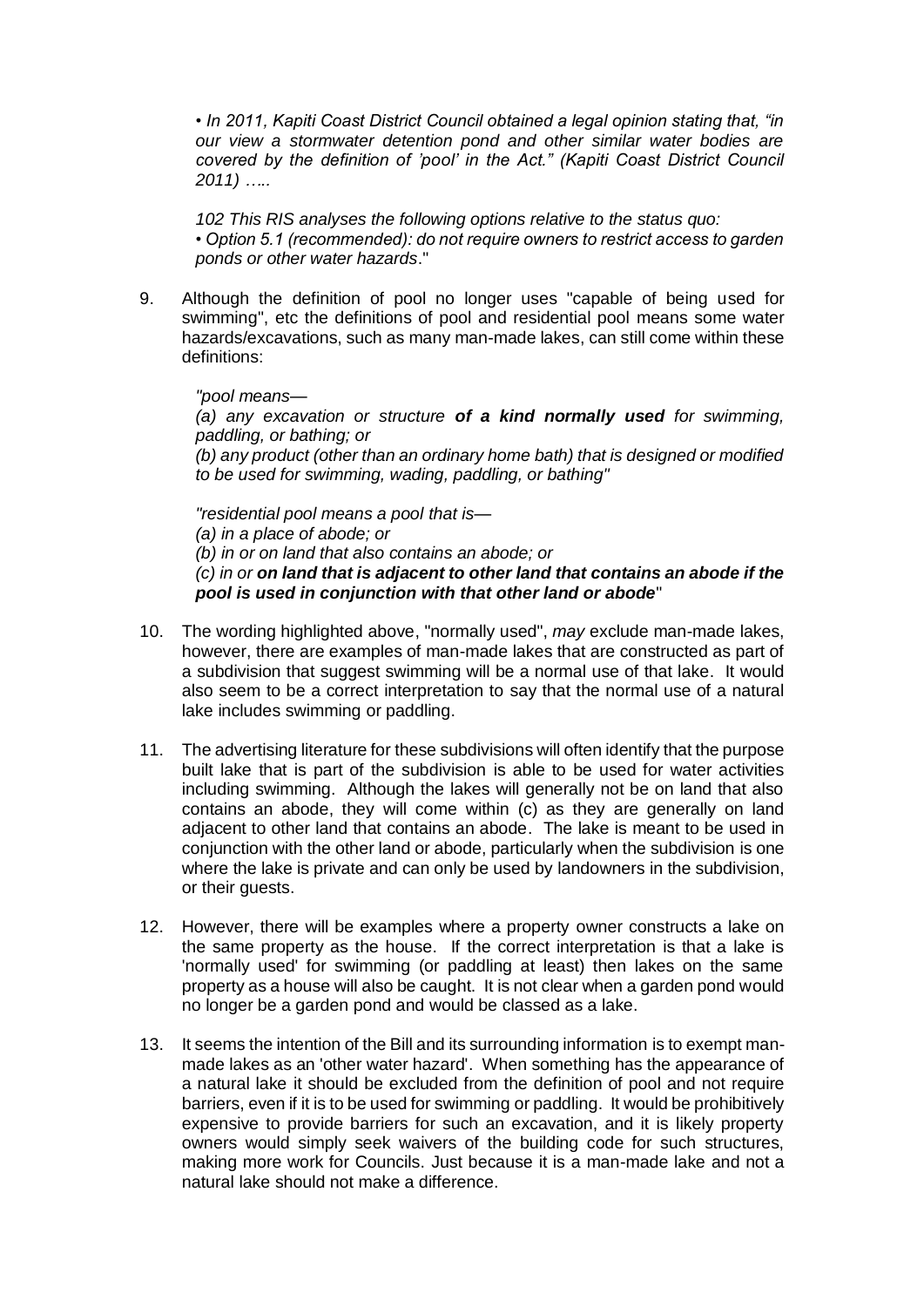*• In 2011, Kapiti Coast District Council obtained a legal opinion stating that, "in our view a stormwater detention pond and other similar water bodies are covered by the definition of 'pool' in the Act." (Kapiti Coast District Council 2011) …..*

*102 This RIS analyses the following options relative to the status quo: • Option 5.1 (recommended): do not require owners to restrict access to garden ponds or other water hazards*."

9. Although the definition of pool no longer uses "capable of being used for swimming", etc the definitions of pool and residential pool means some water hazards/excavations, such as many man-made lakes, can still come within these definitions:

*"pool means— (a) any excavation or structure of a kind normally used for swimming, paddling, or bathing; or (b) any product (other than an ordinary home bath) that is designed or modified to be used for swimming, wading, paddling, or bathing"*

*"residential pool means a pool that is— (a) in a place of abode; or (b) in or on land that also contains an abode; or (c) in or on land that is adjacent to other land that contains an abode if the pool is used in conjunction with that other land or abode*"

- 10. The wording highlighted above, "normally used", *may* exclude man-made lakes, however, there are examples of man-made lakes that are constructed as part of a subdivision that suggest swimming will be a normal use of that lake. It would also seem to be a correct interpretation to say that the normal use of a natural lake includes swimming or paddling.
- 11. The advertising literature for these subdivisions will often identify that the purpose built lake that is part of the subdivision is able to be used for water activities including swimming. Although the lakes will generally not be on land that also contains an abode, they will come within (c) as they are generally on land adjacent to other land that contains an abode. The lake is meant to be used in conjunction with the other land or abode, particularly when the subdivision is one where the lake is private and can only be used by landowners in the subdivision, or their guests.
- 12. However, there will be examples where a property owner constructs a lake on the same property as the house. If the correct interpretation is that a lake is 'normally used' for swimming (or paddling at least) then lakes on the same property as a house will also be caught. It is not clear when a garden pond would no longer be a garden pond and would be classed as a lake.
- 13. It seems the intention of the Bill and its surrounding information is to exempt manmade lakes as an 'other water hazard'. When something has the appearance of a natural lake it should be excluded from the definition of pool and not require barriers, even if it is to be used for swimming or paddling. It would be prohibitively expensive to provide barriers for such an excavation, and it is likely property owners would simply seek waivers of the building code for such structures, making more work for Councils. Just because it is a man-made lake and not a natural lake should not make a difference.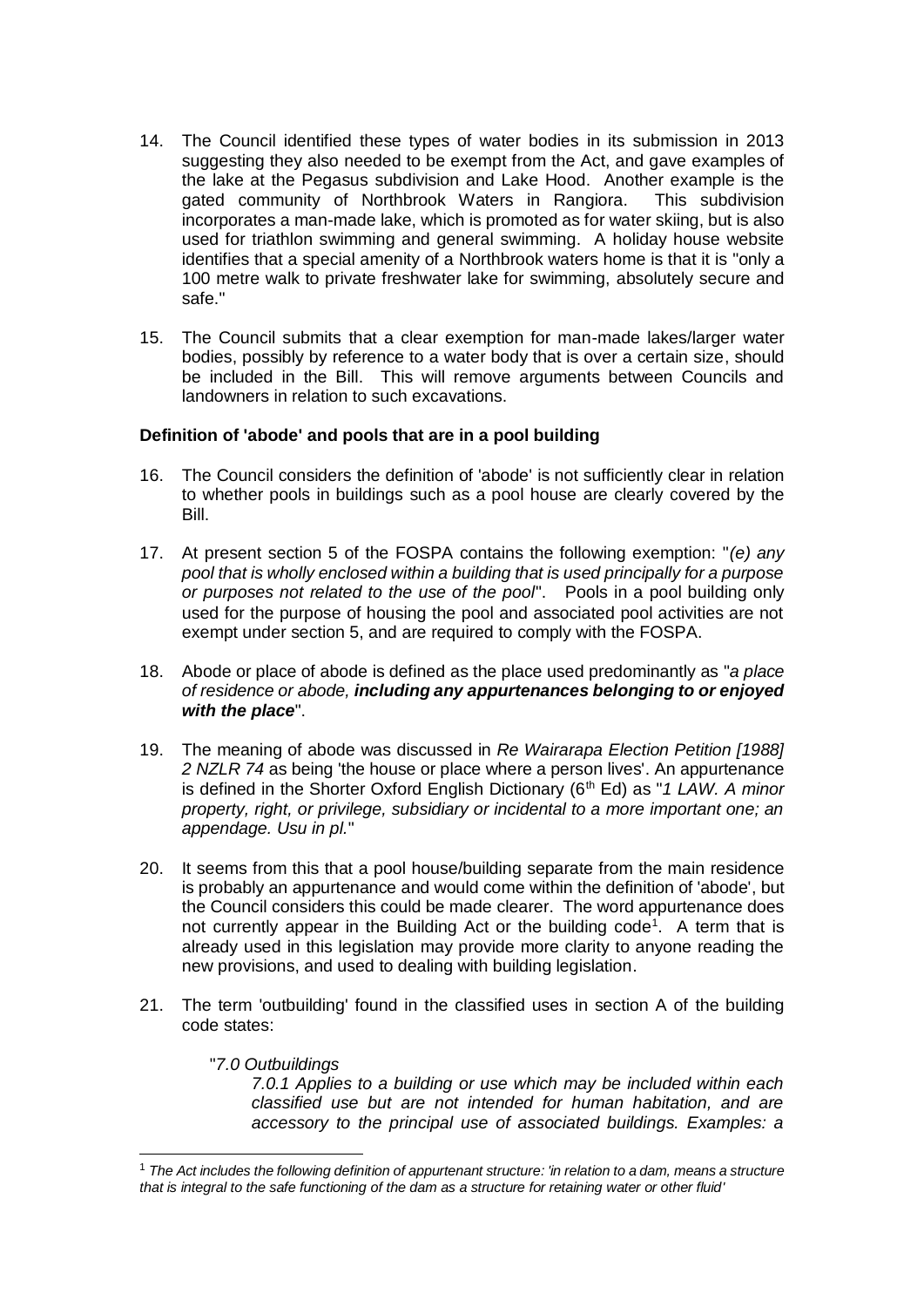- 14. The Council identified these types of water bodies in its submission in 2013 suggesting they also needed to be exempt from the Act, and gave examples of the lake at the Pegasus subdivision and Lake Hood. Another example is the gated community of Northbrook Waters in Rangiora. This subdivision incorporates a man-made lake, which is promoted as for water skiing, but is also used for triathlon swimming and general swimming. A holiday house website identifies that a special amenity of a Northbrook waters home is that it is "only a 100 metre walk to private freshwater lake for swimming, absolutely secure and safe."
- 15. The Council submits that a clear exemption for man-made lakes/larger water bodies, possibly by reference to a water body that is over a certain size, should be included in the Bill. This will remove arguments between Councils and landowners in relation to such excavations.

### **Definition of 'abode' and pools that are in a pool building**

- 16. The Council considers the definition of 'abode' is not sufficiently clear in relation to whether pools in buildings such as a pool house are clearly covered by the Bill.
- 17. At present section 5 of the FOSPA contains the following exemption: "*(e) any pool that is wholly enclosed within a building that is used principally for a purpose or purposes not related to the use of the pool*". Pools in a pool building only used for the purpose of housing the pool and associated pool activities are not exempt under section 5, and are required to comply with the FOSPA.
- 18. Abode or place of abode is defined as the place used predominantly as "*a place of residence or abode, including any appurtenances belonging to or enjoyed with the place*".
- 19. The meaning of abode was discussed in *Re Wairarapa Election Petition [1988] 2 NZLR 74* as being 'the house or place where a person lives'. An appurtenance is defined in the Shorter Oxford English Dictionary (6<sup>th</sup> Ed) as "1 LAW. A minor *property, right, or privilege, subsidiary or incidental to a more important one; an appendage. Usu in pl.*"
- 20. It seems from this that a pool house/building separate from the main residence is probably an appurtenance and would come within the definition of 'abode', but the Council considers this could be made clearer. The word appurtenance does not currently appear in the Building Act or the building code<sup>1</sup>. A term that is already used in this legislation may provide more clarity to anyone reading the new provisions, and used to dealing with building legislation.
- 21. The term 'outbuilding' found in the classified uses in section A of the building code states:

## "*7.0 Outbuildings*

-

*7.0.1 Applies to a building or use which may be included within each classified use but are not intended for human habitation, and are accessory to the principal use of associated buildings. Examples: a* 

<sup>1</sup> *The Act includes the following definition of appurtenant structure: 'in relation to a dam, means a structure that is integral to the safe functioning of the dam as a structure for retaining water or other fluid'*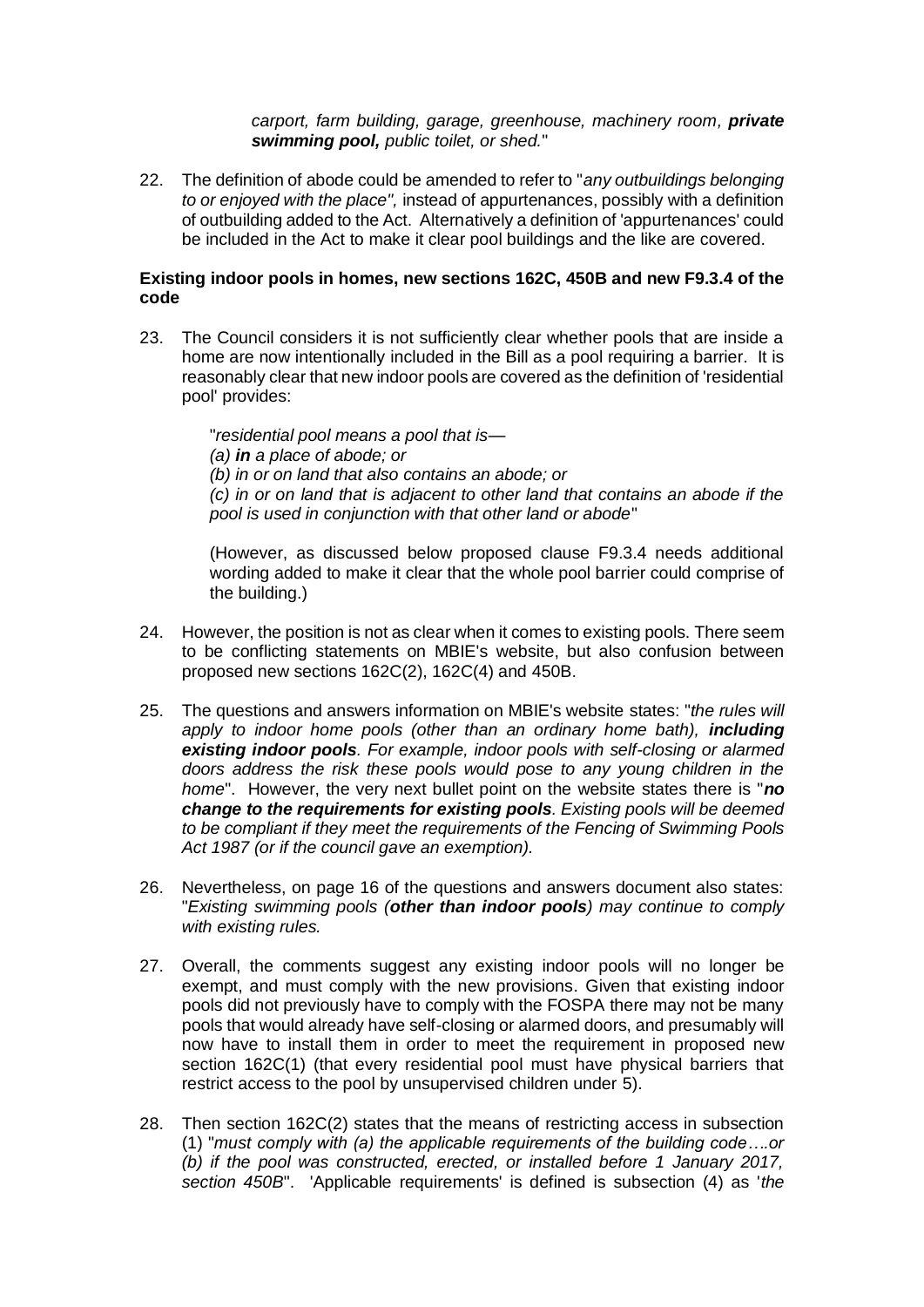*carport, farm building, garage, greenhouse, machinery room, private swimming pool, public toilet, or shed.*"

22. The definition of abode could be amended to refer to "*any outbuildings belonging to or enjoyed with the place",* instead of appurtenances, possibly with a definition of outbuilding added to the Act. Alternatively a definition of 'appurtenances' could be included in the Act to make it clear pool buildings and the like are covered.

#### **Existing indoor pools in homes, new sections 162C, 450B and new F9.3.4 of the code**

23. The Council considers it is not sufficiently clear whether pools that are inside a home are now intentionally included in the Bill as a pool requiring a barrier. It is reasonably clear that new indoor pools are covered as the definition of 'residential pool' provides:

> "*residential pool means a pool that is— (a) in a place of abode; or (b) in or on land that also contains an abode; or (c) in or on land that is adjacent to other land that contains an abode if the pool is used in conjunction with that other land or abode*"

> (However, as discussed below proposed clause F9.3.4 needs additional wording added to make it clear that the whole pool barrier could comprise of the building.)

- 24. However, the position is not as clear when it comes to existing pools. There seem to be conflicting statements on MBIE's website, but also confusion between proposed new sections 162C(2), 162C(4) and 450B.
- 25. The questions and answers information on MBIE's website states: "*the rules will apply to indoor home pools (other than an ordinary home bath), including existing indoor pools. For example, indoor pools with self-closing or alarmed doors address the risk these pools would pose to any young children in the home*". However, the very next bullet point on the website states there is "*no change to the requirements for existing pools. Existing pools will be deemed to be compliant if they meet the requirements of the Fencing of Swimming Pools Act 1987 (or if the council gave an exemption).*
- 26. Nevertheless, on page 16 of the questions and answers document also states: "*Existing swimming pools (other than indoor pools) may continue to comply with existing rules.*
- 27. Overall, the comments suggest any existing indoor pools will no longer be exempt, and must comply with the new provisions. Given that existing indoor pools did not previously have to comply with the FOSPA there may not be many pools that would already have self-closing or alarmed doors, and presumably will now have to install them in order to meet the requirement in proposed new section 162C(1) (that every residential pool must have physical barriers that restrict access to the pool by unsupervised children under 5).
- 28. Then section 162C(2) states that the means of restricting access in subsection (1) "*must comply with (a) the applicable requirements of the building code….or (b) if the pool was constructed, erected, or installed before 1 January 2017, section 450B*". 'Applicable requirements' is defined is subsection (4) as '*the*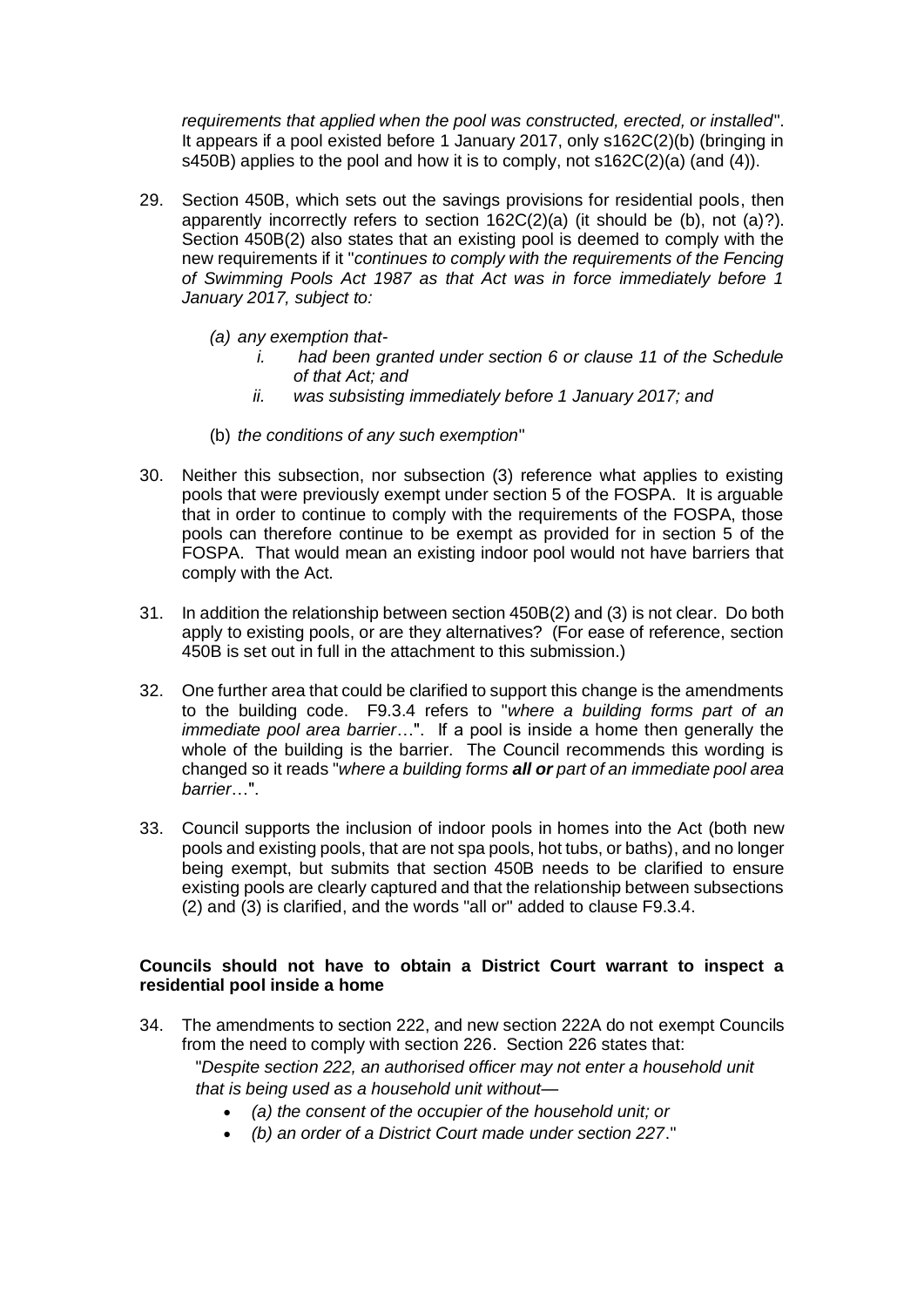*requirements that applied when the pool was constructed, erected, or installed*". It appears if a pool existed before 1 January 2017, only s162C(2)(b) (bringing in s450B) applies to the pool and how it is to comply, not s162C(2)(a) (and (4)).

- 29. Section 450B, which sets out the savings provisions for residential pools, then apparently incorrectly refers to section 162C(2)(a) (it should be (b), not (a)?). Section 450B(2) also states that an existing pool is deemed to comply with the new requirements if it "*continues to comply with the requirements of the Fencing of Swimming Pools Act 1987 as that Act was in force immediately before 1 January 2017, subject to:*
	- *(a) any exemption that*
		- *i. had been granted under section 6 or clause 11 of the Schedule of that Act; and*
		- *ii. was subsisting immediately before 1 January 2017; and*
	- (b) *the conditions of any such exemption*"
- 30. Neither this subsection, nor subsection (3) reference what applies to existing pools that were previously exempt under section 5 of the FOSPA. It is arguable that in order to continue to comply with the requirements of the FOSPA, those pools can therefore continue to be exempt as provided for in section 5 of the FOSPA. That would mean an existing indoor pool would not have barriers that comply with the Act.
- 31. In addition the relationship between section 450B(2) and (3) is not clear. Do both apply to existing pools, or are they alternatives? (For ease of reference, section 450B is set out in full in the attachment to this submission.)
- 32. One further area that could be clarified to support this change is the amendments to the building code. F9.3.4 refers to "*where a building forms part of an immediate pool area barrier*…". If a pool is inside a home then generally the whole of the building is the barrier. The Council recommends this wording is changed so it reads "*where a building forms all or part of an immediate pool area barrier*…".
- 33. Council supports the inclusion of indoor pools in homes into the Act (both new pools and existing pools, that are not spa pools, hot tubs, or baths), and no longer being exempt, but submits that section 450B needs to be clarified to ensure existing pools are clearly captured and that the relationship between subsections (2) and (3) is clarified, and the words "all or" added to clause F9.3.4.

# **Councils should not have to obtain a District Court warrant to inspect a residential pool inside a home**

- 34. The amendments to section 222, and new section 222A do not exempt Councils from the need to comply with section 226. Section 226 states that: "*Despite section 222, an authorised officer may not enter a household unit that is being used as a household unit without—*
	- *(a) the consent of the occupier of the household unit; or*
	- *(b) an order of a District Court made under section 227*."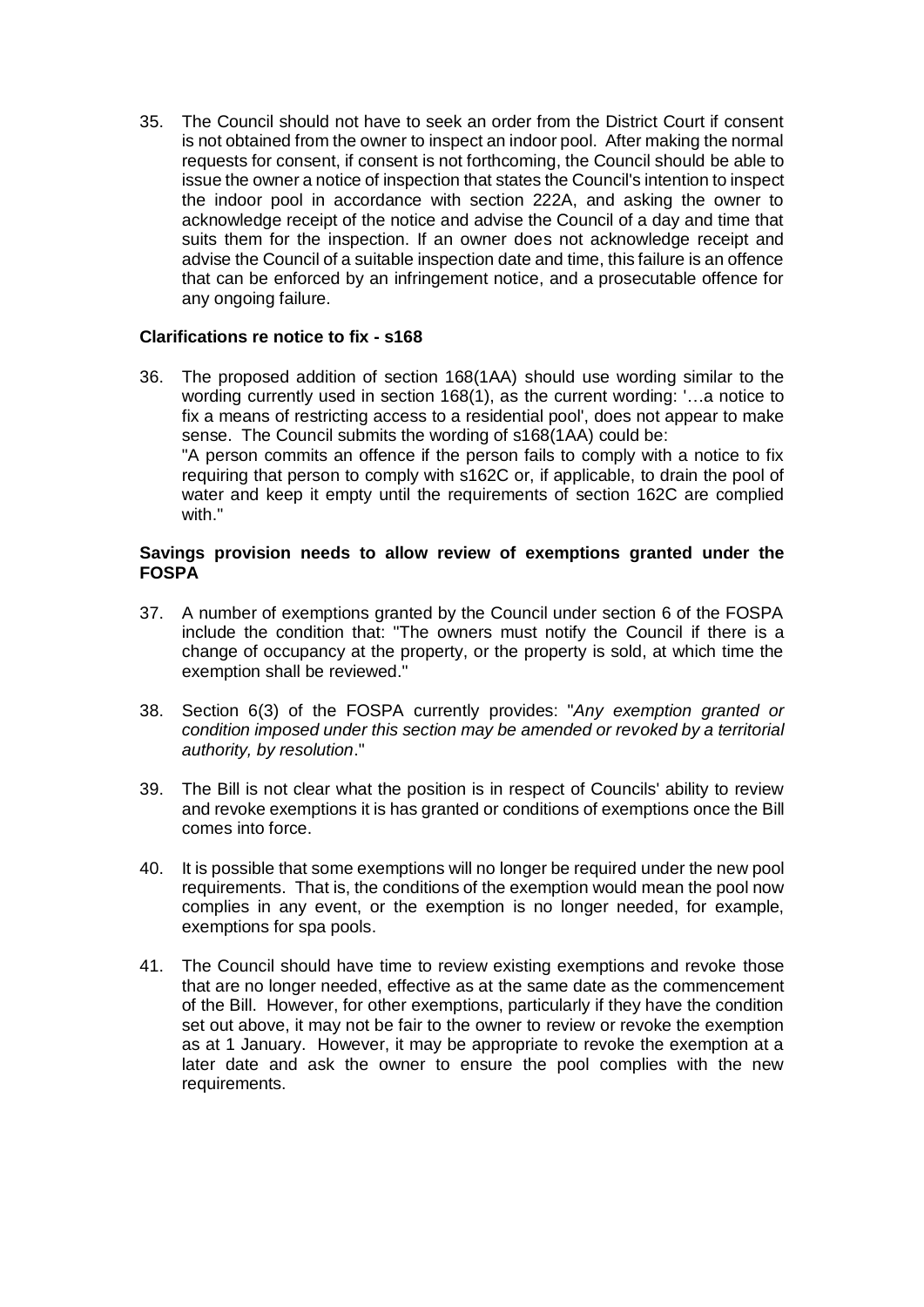35. The Council should not have to seek an order from the District Court if consent is not obtained from the owner to inspect an indoor pool. After making the normal requests for consent, if consent is not forthcoming, the Council should be able to issue the owner a notice of inspection that states the Council's intention to inspect the indoor pool in accordance with section 222A, and asking the owner to acknowledge receipt of the notice and advise the Council of a day and time that suits them for the inspection. If an owner does not acknowledge receipt and advise the Council of a suitable inspection date and time, this failure is an offence that can be enforced by an infringement notice, and a prosecutable offence for any ongoing failure.

# **Clarifications re notice to fix - s168**

36. The proposed addition of section 168(1AA) should use wording similar to the wording currently used in section 168(1), as the current wording: '…a notice to fix a means of restricting access to a residential pool', does not appear to make sense. The Council submits the wording of s168(1AA) could be: "A person commits an offence if the person fails to comply with a notice to fix requiring that person to comply with s162C or, if applicable, to drain the pool of water and keep it empty until the requirements of section 162C are complied with."

#### **Savings provision needs to allow review of exemptions granted under the FOSPA**

- 37. A number of exemptions granted by the Council under section 6 of the FOSPA include the condition that: "The owners must notify the Council if there is a change of occupancy at the property, or the property is sold, at which time the exemption shall be reviewed."
- 38. Section 6(3) of the FOSPA currently provides: "*Any exemption granted or condition imposed under this section may be amended or revoked by a territorial authority, by resolution*."
- 39. The Bill is not clear what the position is in respect of Councils' ability to review and revoke exemptions it is has granted or conditions of exemptions once the Bill comes into force.
- 40. It is possible that some exemptions will no longer be required under the new pool requirements. That is, the conditions of the exemption would mean the pool now complies in any event, or the exemption is no longer needed, for example, exemptions for spa pools.
- 41. The Council should have time to review existing exemptions and revoke those that are no longer needed, effective as at the same date as the commencement of the Bill. However, for other exemptions, particularly if they have the condition set out above, it may not be fair to the owner to review or revoke the exemption as at 1 January. However, it may be appropriate to revoke the exemption at a later date and ask the owner to ensure the pool complies with the new requirements.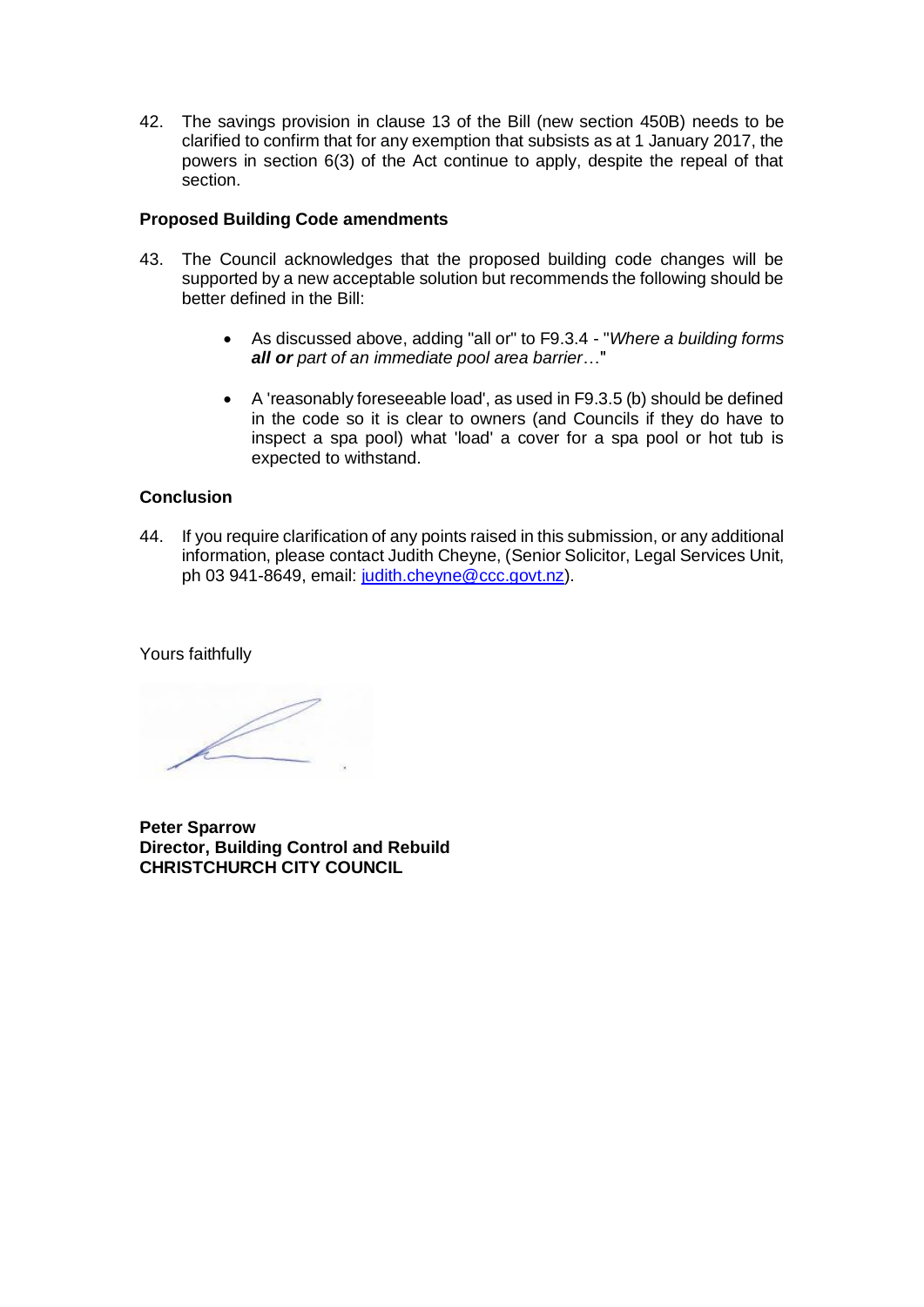42. The savings provision in clause 13 of the Bill (new section 450B) needs to be clarified to confirm that for any exemption that subsists as at 1 January 2017, the powers in section 6(3) of the Act continue to apply, despite the repeal of that section.

## **Proposed Building Code amendments**

- 43. The Council acknowledges that the proposed building code changes will be supported by a new acceptable solution but recommends the following should be better defined in the Bill:
	- As discussed above, adding "all or" to F9.3.4 "*Where a building forms all or part of an immediate pool area barrier*…"
	- A 'reasonably foreseeable load', as used in F9.3.5 (b) should be defined in the code so it is clear to owners (and Councils if they do have to inspect a spa pool) what 'load' a cover for a spa pool or hot tub is expected to withstand.

### **Conclusion**

44. If you require clarification of any points raised in this submission, or any additional information, please contact Judith Cheyne, (Senior Solicitor, Legal Services Unit, ph 03 941-8649, email: [judith.cheyne@ccc.govt.nz\)](mailto:judith.cheyne@ccc.govt.nz).

Yours faithfully

 $\mathbb{Z}$ 

**Peter Sparrow Director, Building Control and Rebuild CHRISTCHURCH CITY COUNCIL**